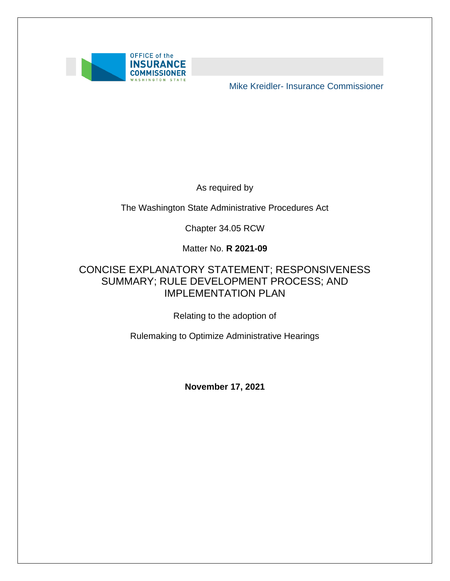

Mike Kreidler- Insurance Commissioner

As required by

The Washington State Administrative Procedures Act

Chapter 34.05 RCW

Matter No. **R 2021-09** 

### SUMMARY; RULE DEVELOPMENT PROCESS; AND CONCISE EXPLANATORY STATEMENT; RESPONSIVENESS IMPLEMENTATION PLAN

Relating to the adoption of

Rulemaking to Optimize Administrative Hearings

**November 17, 2021**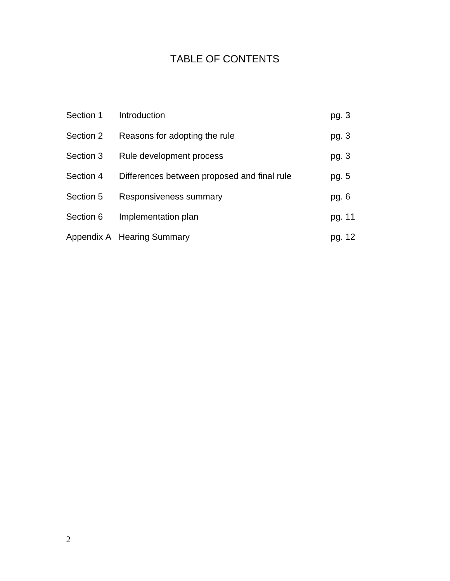### TABLE OF CONTENTS

| Section 1 | Introduction                                | pg. 3  |
|-----------|---------------------------------------------|--------|
| Section 2 | Reasons for adopting the rule               | pg. 3  |
| Section 3 | Rule development process                    | pg. 3  |
| Section 4 | Differences between proposed and final rule | pg. 5  |
| Section 5 | Responsiveness summary                      | pg. 6  |
| Section 6 | Implementation plan                         | pg. 11 |
|           | Appendix A Hearing Summary                  | pg. 12 |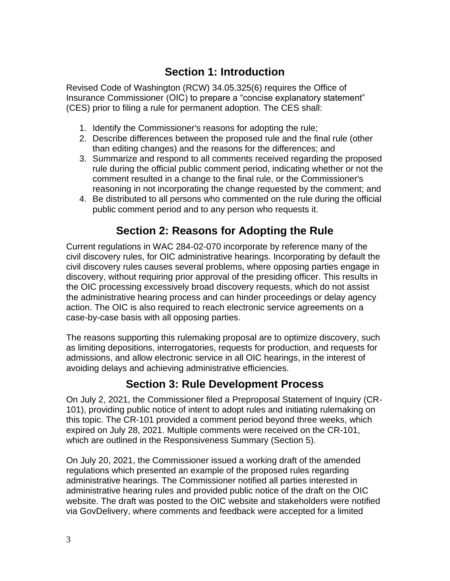## **Section 1: Introduction**

Revised Code of Washington (RCW) 34.05.325(6) requires the Office of Insurance Commissioner (OIC) to prepare a "concise explanatory statement" (CES) prior to filing a rule for permanent adoption. The CES shall:

- 1. Identify the Commissioner's reasons for adopting the rule;
- 2. Describe differences between the proposed rule and the final rule (other than editing changes) and the reasons for the differences; and
- 3. Summarize and respond to all comments received regarding the proposed rule during the official public comment period, indicating whether or not the comment resulted in a change to the final rule, or the Commissioner's reasoning in not incorporating the change requested by the comment; and
- 4. Be distributed to all persons who commented on the rule during the official public comment period and to any person who requests it.

## **Section 2: Reasons for Adopting the Rule**

Current regulations in WAC 284-02-070 incorporate by reference many of the civil discovery rules, for OIC administrative hearings. Incorporating by default the civil discovery rules causes several problems, where opposing parties engage in discovery, without requiring prior approval of the presiding officer. This results in the OIC processing excessively broad discovery requests, which do not assist the administrative hearing process and can hinder proceedings or delay agency action. The OIC is also required to reach electronic service agreements on a case-by-case basis with all opposing parties.

 avoiding delays and achieving administrative efficiencies. The reasons supporting this rulemaking proposal are to optimize discovery, such as limiting depositions, interrogatories, requests for production, and requests for admissions, and allow electronic service in all OIC hearings, in the interest of

### **Section 3: Rule Development Process**

 101), providing public notice of intent to adopt rules and initiating rulemaking on expired on July 28, 2021. Multiple comments were received on the CR-101, On July 2, 2021, the Commissioner filed a Preproposal Statement of Inquiry (CRthis topic. The CR-101 provided a comment period beyond three weeks, which which are outlined in the Responsiveness Summary (Section 5).

 On July 20, 2021, the Commissioner issued a working draft of the amended administrative hearing rules and provided public notice of the draft on the OIC regulations which presented an example of the proposed rules regarding administrative hearings. The Commissioner notified all parties interested in website. The draft was posted to the OIC website and stakeholders were notified via GovDelivery, where comments and feedback were accepted for a limited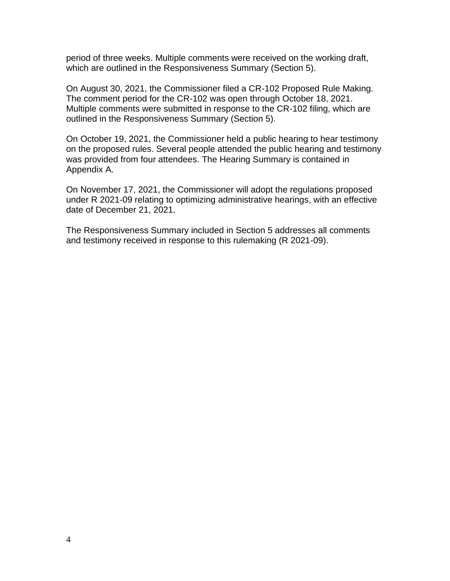period of three weeks. Multiple comments were received on the working draft, which are outlined in the Responsiveness Summary (Section 5).

On August 30, 2021, the Commissioner filed a CR-102 Proposed Rule Making. The comment period for the CR-102 was open through October 18, 2021. Multiple comments were submitted in response to the CR-102 filing, which are outlined in the Responsiveness Summary (Section 5).

On October 19, 2021, the Commissioner held a public hearing to hear testimony on the proposed rules. Several people attended the public hearing and testimony was provided from four attendees. The Hearing Summary is contained in Appendix A.

On November 17, 2021, the Commissioner will adopt the regulations proposed under R 2021-09 relating to optimizing administrative hearings, with an effective date of December 21, 2021.

The Responsiveness Summary included in Section 5 addresses all comments and testimony received in response to this rulemaking (R 2021-09).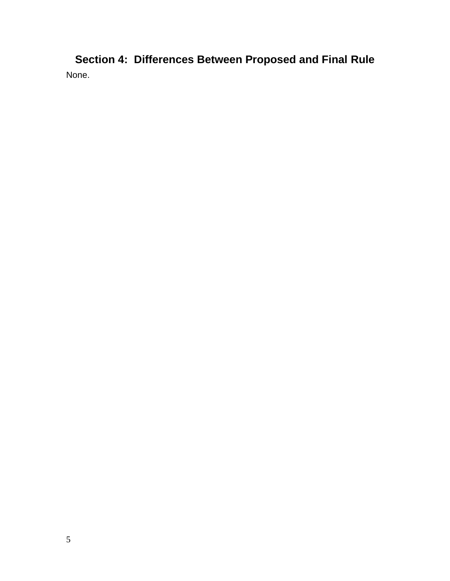**Section 4: Differences Between Proposed and Final Rule**  None.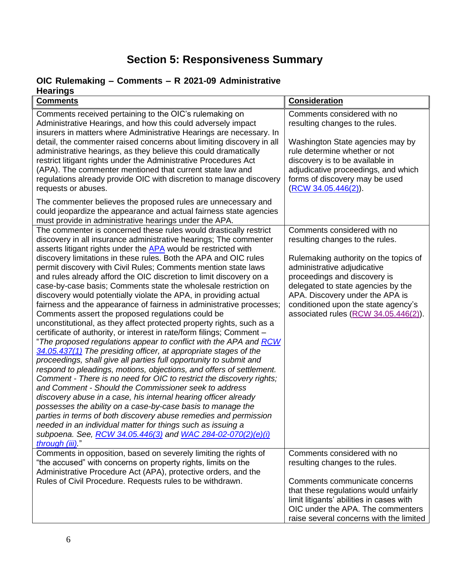# **Section 5: Responsiveness Summary**

#### **OIC Rulemaking – Comments – R 2021-09 Administrative Hearings**

| <b>Comments</b>                                                                                                                                                                                                                                                                                                                                                                                                                                                                                                                                                                                                                                                                                                                                                                                                                                                                                                                                                                                                                                                                                                                                                                                                                                                                                                                                                                                                                                                                                                                                                                                                                  | Consideration                                                                                                                                                                                                                                                                                                                  |
|----------------------------------------------------------------------------------------------------------------------------------------------------------------------------------------------------------------------------------------------------------------------------------------------------------------------------------------------------------------------------------------------------------------------------------------------------------------------------------------------------------------------------------------------------------------------------------------------------------------------------------------------------------------------------------------------------------------------------------------------------------------------------------------------------------------------------------------------------------------------------------------------------------------------------------------------------------------------------------------------------------------------------------------------------------------------------------------------------------------------------------------------------------------------------------------------------------------------------------------------------------------------------------------------------------------------------------------------------------------------------------------------------------------------------------------------------------------------------------------------------------------------------------------------------------------------------------------------------------------------------------|--------------------------------------------------------------------------------------------------------------------------------------------------------------------------------------------------------------------------------------------------------------------------------------------------------------------------------|
| Comments received pertaining to the OIC's rulemaking on<br>Administrative Hearings, and how this could adversely impact<br>insurers in matters where Administrative Hearings are necessary. In<br>detail, the commenter raised concerns about limiting discovery in all<br>administrative hearings, as they believe this could dramatically<br>restrict litigant rights under the Administrative Procedures Act<br>(APA). The commenter mentioned that current state law and<br>regulations already provide OIC with discretion to manage discovery<br>requests or abuses.                                                                                                                                                                                                                                                                                                                                                                                                                                                                                                                                                                                                                                                                                                                                                                                                                                                                                                                                                                                                                                                       | Comments considered with no<br>resulting changes to the rules.<br>Washington State agencies may by<br>rule determine whether or not<br>discovery is to be available in<br>adjudicative proceedings, and which<br>forms of discovery may be used<br>$(RCW 34.05.446(2))$ .                                                      |
| The commenter believes the proposed rules are unnecessary and<br>could jeopardize the appearance and actual fairness state agencies<br>must provide in administrative hearings under the APA.                                                                                                                                                                                                                                                                                                                                                                                                                                                                                                                                                                                                                                                                                                                                                                                                                                                                                                                                                                                                                                                                                                                                                                                                                                                                                                                                                                                                                                    |                                                                                                                                                                                                                                                                                                                                |
| The commenter is concerned these rules would drastically restrict<br>discovery in all insurance administrative hearings; The commenter<br>asserts litigant rights under the APA would be restricted with<br>discovery limitations in these rules. Both the APA and OIC rules<br>permit discovery with Civil Rules; Comments mention state laws<br>and rules already afford the OIC discretion to limit discovery on a<br>case-by-case basis; Comments state the wholesale restriction on<br>discovery would potentially violate the APA, in providing actual<br>fairness and the appearance of fairness in administrative processes;<br>Comments assert the proposed regulations could be<br>unconstitutional, as they affect protected property rights, such as a<br>certificate of authority, or interest in rate/form filings; Comment -<br>"The proposed regulations appear to conflict with the APA and <i>RCW</i><br>34.05.437(1) The presiding officer, at appropriate stages of the<br>proceedings, shall give all parties full opportunity to submit and<br>respond to pleadings, motions, objections, and offers of settlement.<br>Comment - There is no need for OIC to restrict the discovery rights;<br>and Comment - Should the Commissioner seek to address<br>discovery abuse in a case, his internal hearing officer already<br>possesses the ability on a case-by-case basis to manage the<br>parties in terms of both discovery abuse remedies and permission<br>needed in an individual matter for things such as issuing a<br>subpoena. See, RCW 34.05.446(3) and WAC 284-02-070(2)(e)(i)<br>through (iii)" | Comments considered with no<br>resulting changes to the rules.<br>Rulemaking authority on the topics of<br>administrative adjudicative<br>proceedings and discovery is<br>delegated to state agencies by the<br>APA. Discovery under the APA is<br>conditioned upon the state agency's<br>associated rules (RCW 34.05.446(2)). |
| Comments in opposition, based on severely limiting the rights of<br>"the accused" with concerns on property rights, limits on the<br>Administrative Procedure Act (APA), protective orders, and the<br>Rules of Civil Procedure. Requests rules to be withdrawn.                                                                                                                                                                                                                                                                                                                                                                                                                                                                                                                                                                                                                                                                                                                                                                                                                                                                                                                                                                                                                                                                                                                                                                                                                                                                                                                                                                 | Comments considered with no<br>resulting changes to the rules.<br>Comments communicate concerns<br>that these regulations would unfairly<br>limit litigants' abilities in cases with<br>OIC under the APA. The commenters<br>raise several concerns with the limited                                                           |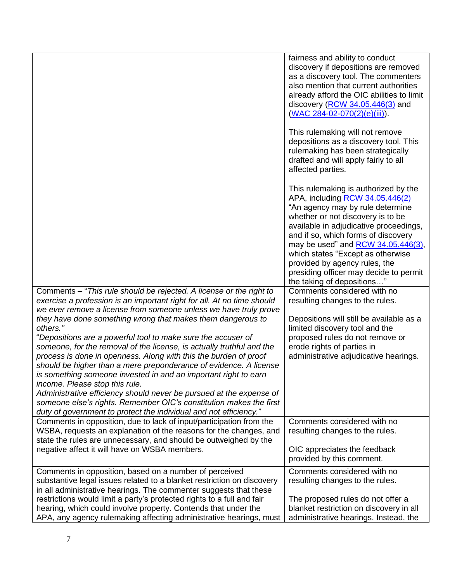|                                                                                                                                                                                                                                                                                                                                                                                                                                                                                                                                                                                                                                                                                                                                                                                                                                                                                                       | fairness and ability to conduct<br>discovery if depositions are removed<br>as a discovery tool. The commenters<br>also mention that current authorities<br>already afford the OIC abilities to limit<br>discovery $(RCW 34.05.446(3)$ and<br>(WAC 284-02-070(2)(e)(iii)).<br>This rulemaking will not remove<br>depositions as a discovery tool. This<br>rulemaking has been strategically<br>drafted and will apply fairly to all<br>affected parties. |
|-------------------------------------------------------------------------------------------------------------------------------------------------------------------------------------------------------------------------------------------------------------------------------------------------------------------------------------------------------------------------------------------------------------------------------------------------------------------------------------------------------------------------------------------------------------------------------------------------------------------------------------------------------------------------------------------------------------------------------------------------------------------------------------------------------------------------------------------------------------------------------------------------------|---------------------------------------------------------------------------------------------------------------------------------------------------------------------------------------------------------------------------------------------------------------------------------------------------------------------------------------------------------------------------------------------------------------------------------------------------------|
|                                                                                                                                                                                                                                                                                                                                                                                                                                                                                                                                                                                                                                                                                                                                                                                                                                                                                                       | This rulemaking is authorized by the<br>APA, including RCW 34.05.446(2)<br>"An agency may by rule determine<br>whether or not discovery is to be<br>available in adjudicative proceedings,<br>and if so, which forms of discovery<br>may be used" and RCW 34.05.446(3),<br>which states "Except as otherwise<br>provided by agency rules, the<br>presiding officer may decide to permit<br>the taking of depositions"                                   |
| Comments - "This rule should be rejected. A license or the right to<br>exercise a profession is an important right for all. At no time should<br>we ever remove a license from someone unless we have truly prove<br>they have done something wrong that makes them dangerous to<br>others."<br>"Depositions are a powerful tool to make sure the accuser of<br>someone, for the removal of the license, is actually truthful and the<br>process is done in openness. Along with this the burden of proof<br>should be higher than a mere preponderance of evidence. A license<br>is something someone invested in and an important right to earn<br>income. Please stop this rule.<br>Administrative efficiency should never be pursued at the expense of<br>someone else's rights. Remember OIC's constitution makes the first<br>duty of government to protect the individual and not efficiency." | Comments considered with no<br>resulting changes to the rules.<br>Depositions will still be available as a<br>limited discovery tool and the<br>proposed rules do not remove or<br>erode rights of parties in<br>administrative adjudicative hearings.                                                                                                                                                                                                  |
| Comments in opposition, due to lack of input/participation from the<br>WSBA, requests an explanation of the reasons for the changes, and<br>state the rules are unnecessary, and should be outweighed by the<br>negative affect it will have on WSBA members.                                                                                                                                                                                                                                                                                                                                                                                                                                                                                                                                                                                                                                         | Comments considered with no<br>resulting changes to the rules.<br>OIC appreciates the feedback<br>provided by this comment.                                                                                                                                                                                                                                                                                                                             |
| Comments in opposition, based on a number of perceived<br>substantive legal issues related to a blanket restriction on discovery<br>in all administrative hearings. The commenter suggests that these<br>restrictions would limit a party's protected rights to a full and fair<br>hearing, which could involve property. Contends that under the<br>APA, any agency rulemaking affecting administrative hearings, must                                                                                                                                                                                                                                                                                                                                                                                                                                                                               | Comments considered with no<br>resulting changes to the rules.<br>The proposed rules do not offer a<br>blanket restriction on discovery in all<br>administrative hearings. Instead, the                                                                                                                                                                                                                                                                 |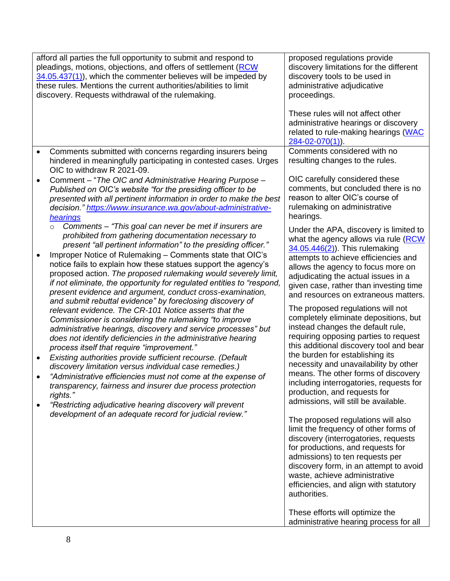|           | afford all parties the full opportunity to submit and respond to<br>pleadings, motions, objections, and offers of settlement (RCW<br>34.05.437(1)), which the commenter believes will be impeded by<br>these rules. Mentions the current authorities/abilities to limit<br>discovery. Requests withdrawal of the rulemaking.                                                                                                                                                                                                                                                                    | proposed regulations provide<br>discovery limitations for the different<br>discovery tools to be used in<br>administrative adjudicative<br>proceedings.<br>These rules will not affect other<br>administrative hearings or discovery<br>related to rule-making hearings (WAC<br>$284 - 02 - 070(1)$                                                                                                      |
|-----------|-------------------------------------------------------------------------------------------------------------------------------------------------------------------------------------------------------------------------------------------------------------------------------------------------------------------------------------------------------------------------------------------------------------------------------------------------------------------------------------------------------------------------------------------------------------------------------------------------|----------------------------------------------------------------------------------------------------------------------------------------------------------------------------------------------------------------------------------------------------------------------------------------------------------------------------------------------------------------------------------------------------------|
| $\bullet$ | Comments submitted with concerns regarding insurers being<br>hindered in meaningfully participating in contested cases. Urges<br>OIC to withdraw R 2021-09.                                                                                                                                                                                                                                                                                                                                                                                                                                     | Comments considered with no<br>resulting changes to the rules.                                                                                                                                                                                                                                                                                                                                           |
| $\bullet$ | Comment - "The OIC and Administrative Hearing Purpose -<br>Published on OIC's website "for the presiding officer to be<br>presented with all pertinent information in order to make the best<br>decision." https://www.insurance.wa.gov/about-administrative-<br>hearings                                                                                                                                                                                                                                                                                                                       | OIC carefully considered these<br>comments, but concluded there is no<br>reason to alter OIC's course of<br>rulemaking on administrative<br>hearings.                                                                                                                                                                                                                                                    |
|           | Comments – "This goal can never be met if insurers are<br>$\circ$<br>prohibited from gathering documentation necessary to<br>present "all pertinent information" to the presiding officer."<br>Improper Notice of Rulemaking - Comments state that OIC's<br>notice fails to explain how these statues support the agency's<br>proposed action. The proposed rulemaking would severely limit,<br>if not eliminate, the opportunity for regulated entities to "respond,<br>present evidence and argument, conduct cross-examination,<br>and submit rebuttal evidence" by foreclosing discovery of | Under the APA, discovery is limited to<br>what the agency allows via rule (RCW)<br>$34.05.446(2)$ . This rulemaking<br>attempts to achieve efficiencies and<br>allows the agency to focus more on<br>adjudicating the actual issues in a<br>given case, rather than investing time<br>and resources on extraneous matters.                                                                               |
| $\bullet$ | relevant evidence. The CR-101 Notice asserts that the<br>Commissioner is considering the rulemaking "to improve<br>administrative hearings, discovery and service processes" but<br>does not identify deficiencies in the administrative hearing<br>process itself that require "improvement."<br>Existing authorities provide sufficient recourse. (Default<br>discovery limitation versus individual case remedies.)<br>"Administrative efficiencies must not come at the expense of<br>transparency, fairness and insurer due process protection                                             | The proposed regulations will not<br>completely eliminate depositions, but<br>instead changes the default rule,<br>requiring opposing parties to request<br>this additional discovery tool and bear<br>the burden for establishing its<br>necessity and unavailability by other<br>means. The other forms of discovery<br>including interrogatories, requests for                                        |
|           | rights."<br>"Restricting adjudicative hearing discovery will prevent<br>development of an adequate record for judicial review."                                                                                                                                                                                                                                                                                                                                                                                                                                                                 | production, and requests for<br>admissions, will still be available.<br>The proposed regulations will also<br>limit the frequency of other forms of<br>discovery (interrogatories, requests<br>for productions, and requests for<br>admissions) to ten requests per<br>discovery form, in an attempt to avoid<br>waste, achieve administrative<br>efficiencies, and align with statutory<br>authorities. |
|           |                                                                                                                                                                                                                                                                                                                                                                                                                                                                                                                                                                                                 | These efforts will optimize the<br>administrative hearing process for all                                                                                                                                                                                                                                                                                                                                |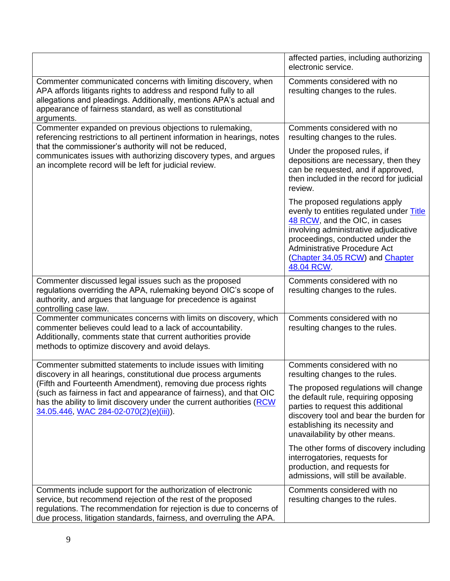|                                                                                                                                                                                                                                                                                     | affected parties, including authorizing<br>electronic service.                                                                                                                                                                                                           |
|-------------------------------------------------------------------------------------------------------------------------------------------------------------------------------------------------------------------------------------------------------------------------------------|--------------------------------------------------------------------------------------------------------------------------------------------------------------------------------------------------------------------------------------------------------------------------|
| Commenter communicated concerns with limiting discovery, when<br>APA affords litigants rights to address and respond fully to all<br>allegations and pleadings. Additionally, mentions APA's actual and<br>appearance of fairness standard, as well as constitutional<br>arguments. | Comments considered with no<br>resulting changes to the rules.                                                                                                                                                                                                           |
| Commenter expanded on previous objections to rulemaking,<br>referencing restrictions to all pertinent information in hearings, notes                                                                                                                                                | Comments considered with no<br>resulting changes to the rules.                                                                                                                                                                                                           |
| that the commissioner's authority will not be reduced,<br>communicates issues with authorizing discovery types, and argues<br>an incomplete record will be left for judicial review.                                                                                                | Under the proposed rules, if<br>depositions are necessary, then they<br>can be requested, and if approved,<br>then included in the record for judicial<br>review.                                                                                                        |
|                                                                                                                                                                                                                                                                                     | The proposed regulations apply<br>evenly to entities regulated under Title<br>48 RCW, and the OIC, in cases<br>involving administrative adjudicative<br>proceedings, conducted under the<br>Administrative Procedure Act<br>(Chapter 34.05 RCW) and Chapter<br>48.04 RCW |
| Commenter discussed legal issues such as the proposed<br>regulations overriding the APA, rulemaking beyond OIC's scope of<br>authority, and argues that language for precedence is against<br>controlling case law.                                                                 | Comments considered with no<br>resulting changes to the rules.                                                                                                                                                                                                           |
| Commenter communicates concerns with limits on discovery, which<br>commenter believes could lead to a lack of accountability.<br>Additionally, comments state that current authorities provide<br>methods to optimize discovery and avoid delays.                                   | Comments considered with no<br>resulting changes to the rules.                                                                                                                                                                                                           |
| Commenter submitted statements to include issues with limiting<br>discovery in all hearings, constitutional due process arguments                                                                                                                                                   | Comments considered with no<br>resulting changes to the rules.                                                                                                                                                                                                           |
| (Fifth and Fourteenth Amendment), removing due process rights<br>(such as fairness in fact and appearance of fairness), and that OIC<br>has the ability to limit discovery under the current authorities (RCW<br>34.05.446, WAC 284-02-070(2)(e)(iii)).                             | The proposed regulations will change<br>the default rule, requiring opposing<br>parties to request this additional<br>discovery tool and bear the burden for<br>establishing its necessity and<br>unavailability by other means.                                         |
|                                                                                                                                                                                                                                                                                     | The other forms of discovery including<br>interrogatories, requests for<br>production, and requests for<br>admissions, will still be available.                                                                                                                          |
| Comments include support for the authorization of electronic<br>service, but recommend rejection of the rest of the proposed                                                                                                                                                        | Comments considered with no<br>resulting changes to the rules.                                                                                                                                                                                                           |
| regulations. The recommendation for rejection is due to concerns of                                                                                                                                                                                                                 |                                                                                                                                                                                                                                                                          |
| due process, litigation standards, fairness, and overruling the APA.                                                                                                                                                                                                                |                                                                                                                                                                                                                                                                          |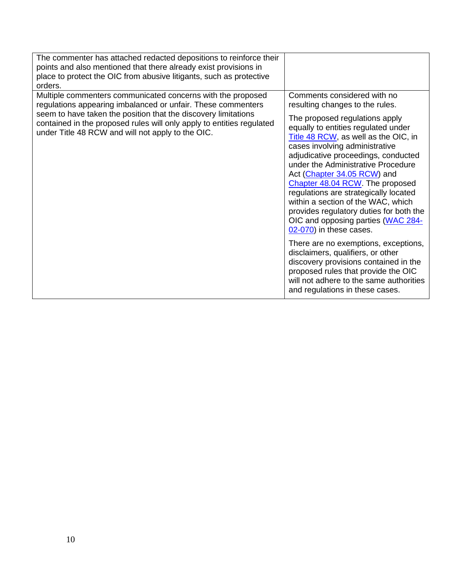| The commenter has attached redacted depositions to reinforce their<br>points and also mentioned that there already exist provisions in<br>place to protect the OIC from abusive litigants, such as protective<br>orders.                                                                                                    |                                                                                                                                                                                                                                                                                                                                                                                                                                                                                                                                                                                                                                                                                                                                                                                                           |
|-----------------------------------------------------------------------------------------------------------------------------------------------------------------------------------------------------------------------------------------------------------------------------------------------------------------------------|-----------------------------------------------------------------------------------------------------------------------------------------------------------------------------------------------------------------------------------------------------------------------------------------------------------------------------------------------------------------------------------------------------------------------------------------------------------------------------------------------------------------------------------------------------------------------------------------------------------------------------------------------------------------------------------------------------------------------------------------------------------------------------------------------------------|
| Multiple commenters communicated concerns with the proposed<br>regulations appearing imbalanced or unfair. These commenters<br>seem to have taken the position that the discovery limitations<br>contained in the proposed rules will only apply to entities regulated<br>under Title 48 RCW and will not apply to the OIC. | Comments considered with no<br>resulting changes to the rules.<br>The proposed regulations apply<br>equally to entities regulated under<br>Title 48 RCW, as well as the OIC, in<br>cases involving administrative<br>adjudicative proceedings, conducted<br>under the Administrative Procedure<br>Act (Chapter 34.05 RCW) and<br>Chapter 48.04 RCW. The proposed<br>regulations are strategically located<br>within a section of the WAC, which<br>provides regulatory duties for both the<br>OIC and opposing parties (WAC 284-<br>$02-070$ ) in these cases.<br>There are no exemptions, exceptions,<br>disclaimers, qualifiers, or other<br>discovery provisions contained in the<br>proposed rules that provide the OIC<br>will not adhere to the same authorities<br>and regulations in these cases. |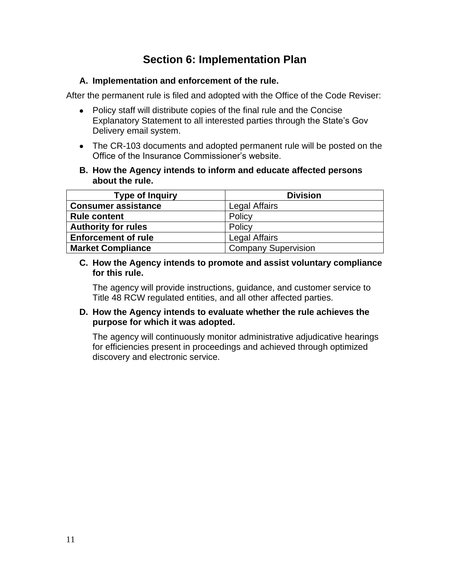## **Section 6: Implementation Plan**

#### **A. Implementation and enforcement of the rule.**

After the permanent rule is filed and adopted with the Office of the Code Reviser:

- Policy staff will distribute copies of the final rule and the Concise Explanatory Statement to all interested parties through the State's Gov Delivery email system.
- • The CR-103 documents and adopted permanent rule will be posted on the Office of the Insurance Commissioner's website.
- **B. How the Agency intends to inform and educate affected persons about the rule.**

| <b>Type of Inquiry</b>     | <b>Division</b>            |
|----------------------------|----------------------------|
| <b>Consumer assistance</b> | <b>Legal Affairs</b>       |
| <b>Rule content</b>        | Policy                     |
| <b>Authority for rules</b> | Policy                     |
| <b>Enforcement of rule</b> | <b>Legal Affairs</b>       |
| <b>Market Compliance</b>   | <b>Company Supervision</b> |

#### **C. How the Agency intends to promote and assist voluntary compliance for this rule.**

The agency will provide instructions, guidance, and customer service to Title 48 RCW regulated entities, and all other affected parties.

#### **D. How the Agency intends to evaluate whether the rule achieves the purpose for which it was adopted.**

The agency will continuously monitor administrative adjudicative hearings for efficiencies present in proceedings and achieved through optimized discovery and electronic service.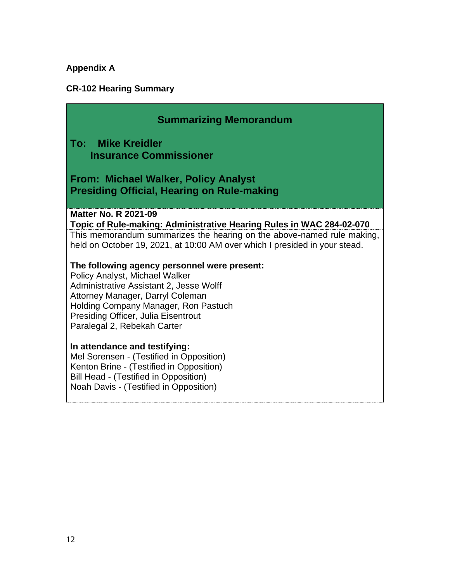## **Appendix A**

## **CR-102 Hearing Summary**

| <b>Summarizing Memorandum</b>                                                                                                                                                                            |
|----------------------------------------------------------------------------------------------------------------------------------------------------------------------------------------------------------|
| <b>To: Mike Kreidler</b><br><b>Insurance Commissioner</b>                                                                                                                                                |
| From: Michael Walker, Policy Analyst<br><b>Presiding Official, Hearing on Rule-making</b>                                                                                                                |
| <b>Matter No. R 2021-09</b>                                                                                                                                                                              |
| Topic of Rule-making: Administrative Hearing Rules in WAC 284-02-070                                                                                                                                     |
| This memorandum summarizes the hearing on the above-named rule making,<br>held on October 19, 2021, at 10:00 AM over which I presided in your stead.                                                     |
| The following agency personnel were present:                                                                                                                                                             |
| Policy Analyst, Michael Walker                                                                                                                                                                           |
| Administrative Assistant 2, Jesse Wolff                                                                                                                                                                  |
| Attorney Manager, Darryl Coleman                                                                                                                                                                         |
| Holding Company Manager, Ron Pastuch<br>Presiding Officer, Julia Eisentrout                                                                                                                              |
| Paralegal 2, Rebekah Carter                                                                                                                                                                              |
| In attendance and testifying:<br>Mel Sorensen - (Testified in Opposition)<br>Kenton Brine - (Testified in Opposition)<br>Bill Head - (Testified in Opposition)<br>Noah Davis - (Testified in Opposition) |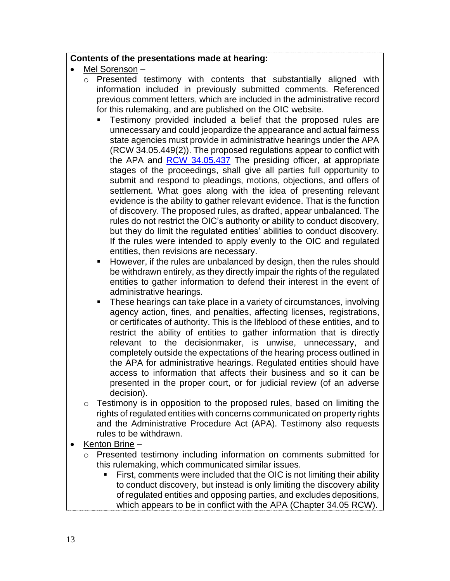#### **Contents of the presentations made at hearing:**

- Mel Sorenson
	- o Presented testimony with contents that substantially aligned with information included in previously submitted comments. Referenced previous comment letters, which are included in the administrative record for this rulemaking, and are published on the OIC website.
		- **EXECT** Testimony provided included a belief that the proposed rules are unnecessary and could jeopardize the appearance and actual fairness state agencies must provide in administrative hearings under the APA (RCW 34.05.449(2)). The proposed regulations appear to conflict with the APA and [RCW 34.05.437](https://app.leg.wa.gov/rcw/default.aspx?cite=34.05.437) The presiding officer, at appropriate stages of the proceedings, shall give all parties full opportunity to submit and respond to pleadings, motions, objections, and offers of settlement. What goes along with the idea of presenting relevant evidence is the ability to gather relevant evidence. That is the function of discovery. The proposed rules, as drafted, appear unbalanced. The but they do limit the regulated entities' abilities to conduct discovery. If the rules were intended to apply evenly to the OIC and regulated rules do not restrict the OIC's authority or ability to conduct discovery, entities, then revisions are necessary.
		- **E** However, if the rules are unbalanced by design, then the rules should be withdrawn entirely, as they directly impair the rights of the regulated entities to gather information to defend their interest in the event of administrative hearings.
		- **These hearings can take place in a variety of circumstances, involving**  or certificates of authority. This is the lifeblood of these entities, and to restrict the ability of entities to gather information that is directly relevant to the decisionmaker, is unwise, unnecessary, and completely outside the expectations of the hearing process outlined in the APA for administrative hearings. Regulated entities should have access to information that affects their business and so it can be presented in the proper court, or for judicial review (of an adverse agency action, fines, and penalties, affecting licenses, registrations, decision).
	- $\circ$  Testimony is in opposition to the proposed rules, based on limiting the rights of regulated entities with concerns communicated on property rights and the Administrative Procedure Act (APA). Testimony also requests rules to be withdrawn.
- Kenton Brine
	- o Presented testimony including information on comments submitted for this rulemaking, which communicated similar issues.
		- **EXTER** First, comments were included that the OIC is not limiting their ability to conduct discovery, but instead is only limiting the discovery ability of regulated entities and opposing parties, and excludes depositions, which appears to be in conflict with the APA (Chapter 34.05 RCW).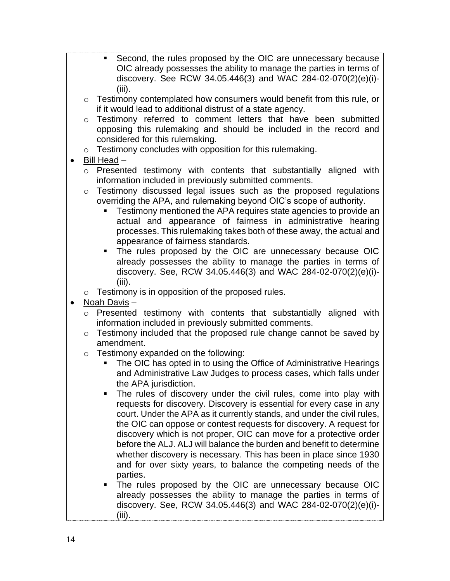- Second, the rules proposed by the OIC are unnecessary because OIC already possesses the ability to manage the parties in terms of discovery. See RCW 34.05.446(3) and WAC 284-02-070(2)(e)(i)- (iii).
- $\circ$  Testimony contemplated how consumers would benefit from this rule, or if it would lead to additional distrust of a state agency.
- o Testimony referred to comment letters that have been submitted opposing this rulemaking and should be included in the record and considered for this rulemaking.
- o Testimony concludes with opposition for this rulemaking.
- Bill Head
	- o Presented testimony with contents that substantially aligned with information included in previously submitted comments.
	- $\circ$  Testimony discussed legal issues such as the proposed regulations overriding the APA, and rulemaking beyond OIC's scope of authority.
		- **EXECT** Testimony mentioned the APA requires state agencies to provide an actual and appearance of fairness in administrative hearing processes. This rulemaking takes both of these away, the actual and appearance of fairness standards.
		- ▪ The rules proposed by the OIC are unnecessary because OIC already possesses the ability to manage the parties in terms of discovery. See, RCW 34.05.446(3) and WAC 284-02-070(2)(e)(i)- (iii).
	- $\circ$  Testimony is in opposition of the proposed rules.
- Noah Davis
	- $\circ$  Presented testimony with contents that substantially aligned with information included in previously submitted comments.
	- $\circ$  Testimony included that the proposed rule change cannot be saved by amendment.
	- o Testimony expanded on the following:
		- **The OIC has opted in to using the Office of Administrative Hearings**  and Administrative Law Judges to process cases, which falls under the APA jurisdiction.
		- **The rules of discovery under the civil rules, come into play with**  requests for discovery. Discovery is essential for every case in any court. Under the APA as it currently stands, and under the civil rules, the OIC can oppose or contest requests for discovery. A request for discovery which is not proper, OIC can move for a protective order before the ALJ. ALJ will balance the burden and benefit to determine whether discovery is necessary. This has been in place since 1930 and for over sixty years, to balance the competing needs of the parties.
		- already possesses the ability to manage the parties in terms of ■ The rules proposed by the OIC are unnecessary because OIC discovery. See, RCW 34.05.446(3) and WAC 284-02-070(2)(e)(i)- (iii).